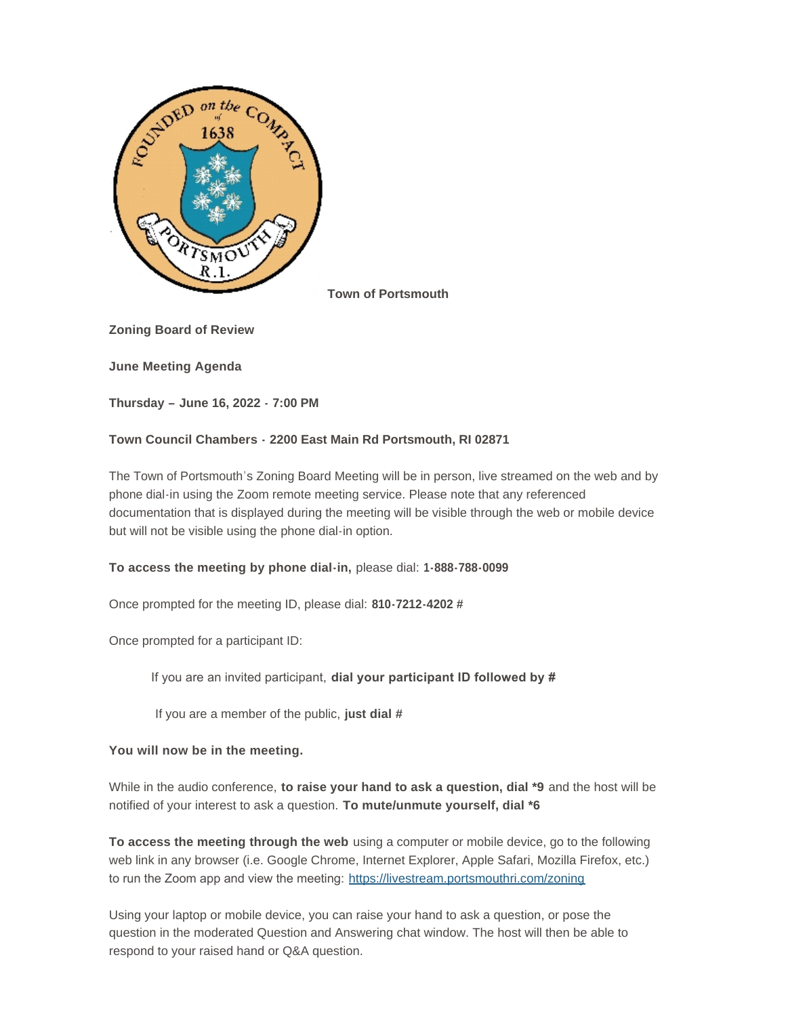

**Town of Portsmouth**

**Zoning Board of Review**

**June Meeting Agenda**

**Thursday – June 16, 2022 - 7:00 PM**

# **Town Council Chambers - 2200 East Main Rd Portsmouth, RI 02871**

The Town of Portsmouth's Zoning Board Meeting will be in person, live streamed on the web and by phone dial-in using the Zoom remote meeting service. Please note that any referenced documentation that is displayed during the meeting will be visible through the web or mobile device but will not be visible using the phone dial-in option.

# **To access the meeting by phone dial-in,** please dial: **1-888-788-0099**

Once prompted for the meeting ID, please dial: **810-7212-4202 #**

Once prompted for a participant ID:

If you are an invited participant, **dial your participant ID followed by #**

If you are a member of the public, **just dial #**

# **You will now be in the meeting.**

While in the audio conference, **to raise your hand to ask a question, dial \*9** and the host will be notified of your interest to ask a question. **To mute/unmute yourself, dial \*6**

**To access the meeting through the web** using a computer or mobile device, go to the following web link in any browser (i.e. Google Chrome, Internet Explorer, Apple Safari, Mozilla Firefox, etc.) to run the Zoom app and view the meeting: <https://livestream.portsmouthri.com/zoning>

Using your laptop or mobile device, you can raise your hand to ask a question, or pose the question in the moderated Question and Answering chat window. The host will then be able to respond to your raised hand or Q&A question.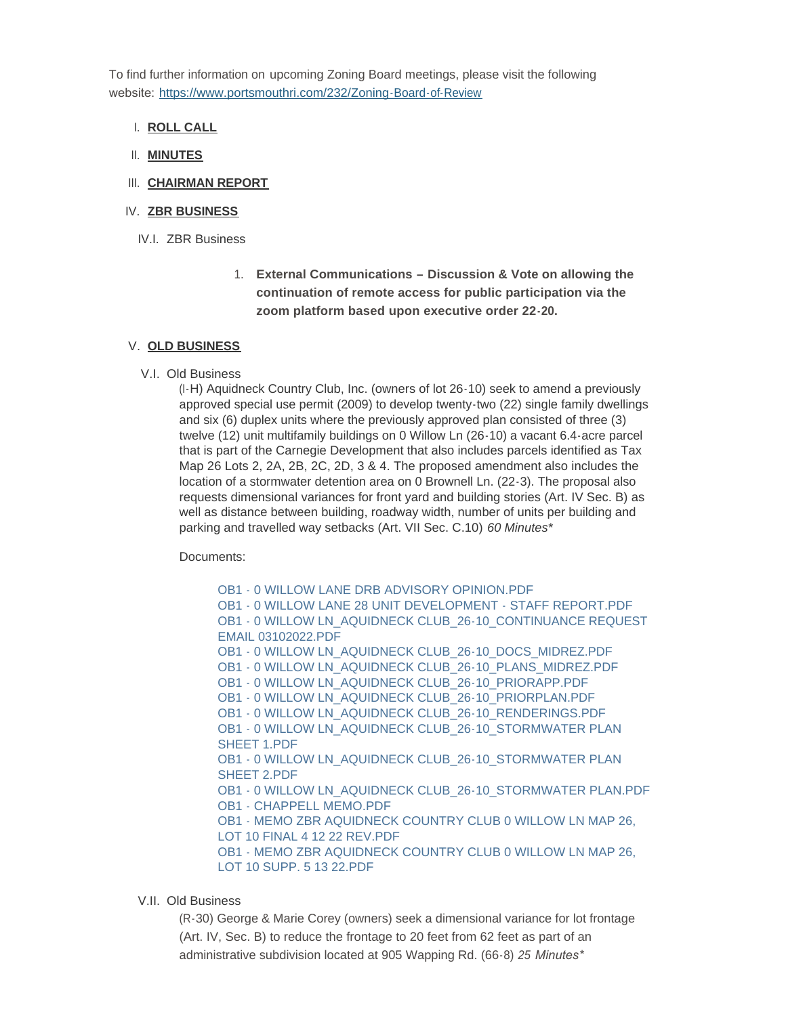To find further information on upcoming Zoning Board meetings, please visit the following website: <https://www.portsmouthri.com/232/Zoning-Board-of-Review>

- **ROLL CALL** I.
- **MINUTES** II.
- III. CHAIRMAN REPORT

### IV. ZBR BUSINESS

- IV.I. ZBR Business
	- 1. **External Communications – Discussion & Vote on allowing the continuation of remote access for public participation via the zoom platform based upon executive order 22-20.**

#### **OLD BUSINESS** V.

V.I. Old Business

(I-H) Aquidneck Country Club, Inc. (owners of lot 26-10) seek to amend a previously approved special use permit (2009) to develop twenty-two (22) single family dwellings and six (6) duplex units where the previously approved plan consisted of three (3) twelve (12) unit multifamily buildings on 0 Willow Ln (26-10) a vacant 6.4-acre parcel that is part of the Carnegie Development that also includes parcels identified as Tax Map 26 Lots 2, 2A, 2B, 2C, 2D, 3 & 4. The proposed amendment also includes the location of a stormwater detention area on 0 Brownell Ln. (22-3). The proposal also requests dimensional variances for front yard and building stories (Art. IV Sec. B) as well as distance between building, roadway width, number of units per building and parking and travelled way setbacks (Art. VII Sec. C.10) *60 Minutes\**

Documents:

[OB1 - 0 WILLOW LANE DRB ADVISORY OPINION.PDF](https://www.portsmouthri.gov/AgendaCenter/ViewFile/Item/9142?fileID=12144) [OB1 - 0 WILLOW LANE 28 UNIT DEVELOPMENT - STAFF REPORT.PDF](https://www.portsmouthri.gov/AgendaCenter/ViewFile/Item/9142?fileID=12145) [OB1 - 0 WILLOW LN\\_AQUIDNECK CLUB\\_26-10\\_CONTINUANCE REQUEST](https://www.portsmouthri.gov/AgendaCenter/ViewFile/Item/9142?fileID=12146)  EMAIL 03102022.PDF [OB1 - 0 WILLOW LN\\_AQUIDNECK CLUB\\_26-10\\_DOCS\\_MIDREZ.PDF](https://www.portsmouthri.gov/AgendaCenter/ViewFile/Item/9142?fileID=12147) [OB1 - 0 WILLOW LN\\_AQUIDNECK CLUB\\_26-10\\_PLANS\\_MIDREZ.PDF](https://www.portsmouthri.gov/AgendaCenter/ViewFile/Item/9142?fileID=12148) [OB1 - 0 WILLOW LN\\_AQUIDNECK CLUB\\_26-10\\_PRIORAPP.PDF](https://www.portsmouthri.gov/AgendaCenter/ViewFile/Item/9142?fileID=12149) [OB1 - 0 WILLOW LN\\_AQUIDNECK CLUB\\_26-10\\_PRIORPLAN.PDF](https://www.portsmouthri.gov/AgendaCenter/ViewFile/Item/9142?fileID=12150) [OB1 - 0 WILLOW LN\\_AQUIDNECK CLUB\\_26-10\\_RENDERINGS.PDF](https://www.portsmouthri.gov/AgendaCenter/ViewFile/Item/9142?fileID=12151) OB1 - 0 WILLOW LN\_AQUIDNECK CLUB\_26-10\_STORMWATER PLAN SHEET 1.PDF OB1 - 0 WILLOW LN\_AQUIDNECK CLUB\_26-10\_STORMWATER PLAN SHEET 2.PDF [OB1 - 0 WILLOW LN\\_AQUIDNECK CLUB\\_26-10\\_STORMWATER PLAN.PDF](https://www.portsmouthri.gov/AgendaCenter/ViewFile/Item/9142?fileID=12154) [OB1 - CHAPPELL MEMO.PDF](https://www.portsmouthri.gov/AgendaCenter/ViewFile/Item/9142?fileID=12155) [OB1 - MEMO ZBR AQUIDNECK COUNTRY CLUB 0 WILLOW LN MAP 26,](https://www.portsmouthri.gov/AgendaCenter/ViewFile/Item/9142?fileID=12156)  LOT 10 FINAL 4 12 22 REV.PDF [OB1 - MEMO ZBR AQUIDNECK COUNTRY CLUB 0 WILLOW LN MAP 26,](https://www.portsmouthri.gov/AgendaCenter/ViewFile/Item/9142?fileID=12157)  LOT 10 SUPP. 5 13 22.PDF

#### V.II. Old Business

(R-30) George & Marie Corey (owners) seek a dimensional variance for lot frontage (Art. IV, Sec. B) to reduce the frontage to 20 feet from 62 feet as part of an administrative subdivision located at 905 Wapping Rd. (66-8) *25 Minutes\**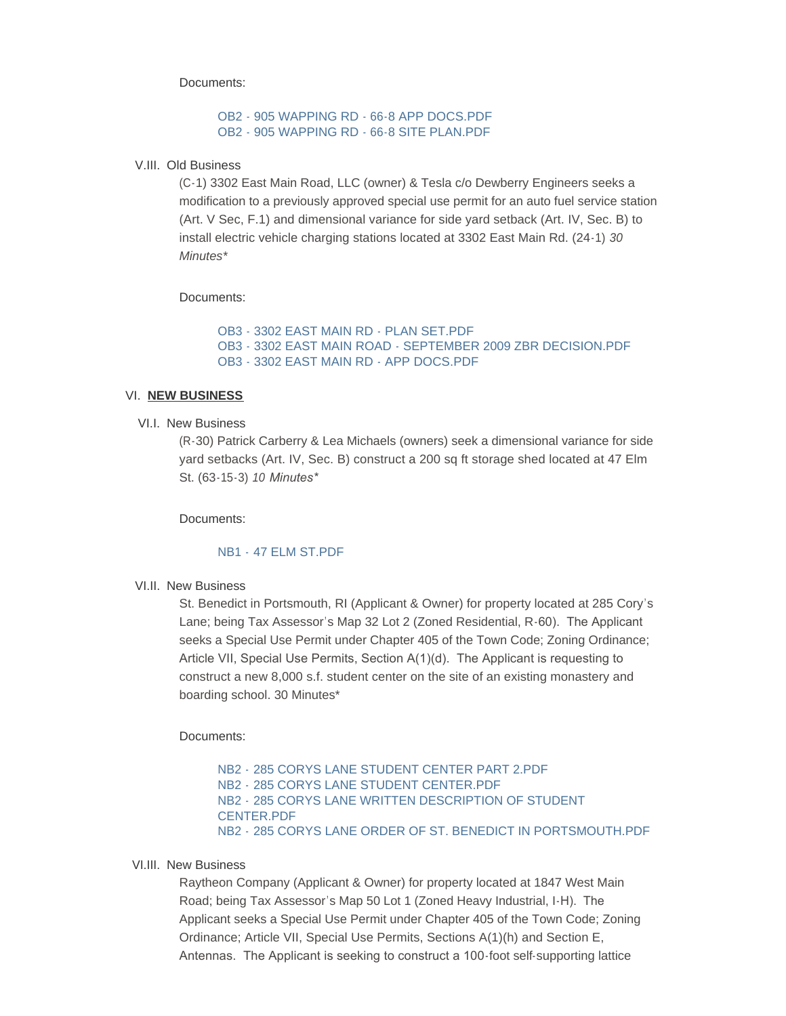Documents:

### [OB2 - 905 WAPPING RD - 66-8 APP DOCS.PDF](https://www.portsmouthri.gov/AgendaCenter/ViewFile/Item/9143?fileID=12158) [OB2 - 905 WAPPING RD - 66-8 SITE PLAN.PDF](https://www.portsmouthri.gov/AgendaCenter/ViewFile/Item/9143?fileID=12159)

#### V.III. Old Business

(C-1) 3302 East Main Road, LLC (owner) & Tesla c/o Dewberry Engineers seeks a modification to a previously approved special use permit for an auto fuel service station (Art. V Sec, F.1) and dimensional variance for side yard setback (Art. IV, Sec. B) to install electric vehicle charging stations located at 3302 East Main Rd. (24-1) *30 Minutes\**

Documents:

```
OB3 - 3302 EAST MAIN RD - PLAN SET.PDF
OB3 - 3302 EAST MAIN ROAD - SEPTEMBER 2009 ZBR DECISION.PDF
OB3 - 3302 EAST MAIN RD - APP DOCS.PDF
```
#### VI. <u>NEW BUSINESS</u>

#### VI.I. New Business

(R-30) Patrick Carberry & Lea Michaels (owners) seek a dimensional variance for side yard setbacks (Art. IV, Sec. B) construct a 200 sq ft storage shed located at 47 Elm St. (63-15-3) *10 Minutes\**

Documents:

### NB1 - [47 ELM ST.PDF](https://www.portsmouthri.gov/AgendaCenter/ViewFile/Item/9145?fileID=12163)

VI.II. New Business

St. Benedict in Portsmouth, RI (Applicant & Owner) for property located at 285 Cory's Lane; being Tax Assessor's Map 32 Lot 2 (Zoned Residential, R-60). The Applicant seeks a Special Use Permit under Chapter 405 of the Town Code; Zoning Ordinance; Article VII, Special Use Permits, Section A(1)(d). The Applicant is requesting to construct a new 8,000 s.f. student center on the site of an existing monastery and boarding school. 30 Minutes\*

Documents:

NB2 - [285 CORYS LANE STUDENT CENTER PART 2.PDF](https://www.portsmouthri.gov/AgendaCenter/ViewFile/Item/9146?fileID=12164) NB2 - [285 CORYS LANE STUDENT CENTER.PDF](https://www.portsmouthri.gov/AgendaCenter/ViewFile/Item/9146?fileID=12165) NB2 - [285 CORYS LANE WRITTEN DESCRIPTION OF STUDENT](https://www.portsmouthri.gov/AgendaCenter/ViewFile/Item/9146?fileID=12166)  CENTER.PDF NB2 - [285 CORYS LANE ORDER OF ST. BENEDICT IN PORTSMOUTH.PDF](https://www.portsmouthri.gov/AgendaCenter/ViewFile/Item/9146?fileID=12167)

#### VI.III. New Business

Raytheon Company (Applicant & Owner) for property located at 1847 West Main Road; being Tax Assessor's Map 50 Lot 1 (Zoned Heavy Industrial, I-H). The Applicant seeks a Special Use Permit under Chapter 405 of the Town Code; Zoning Ordinance; Article VII, Special Use Permits, Sections A(1)(h) and Section E, Antennas. The Applicant is seeking to construct a 100-foot self-supporting lattice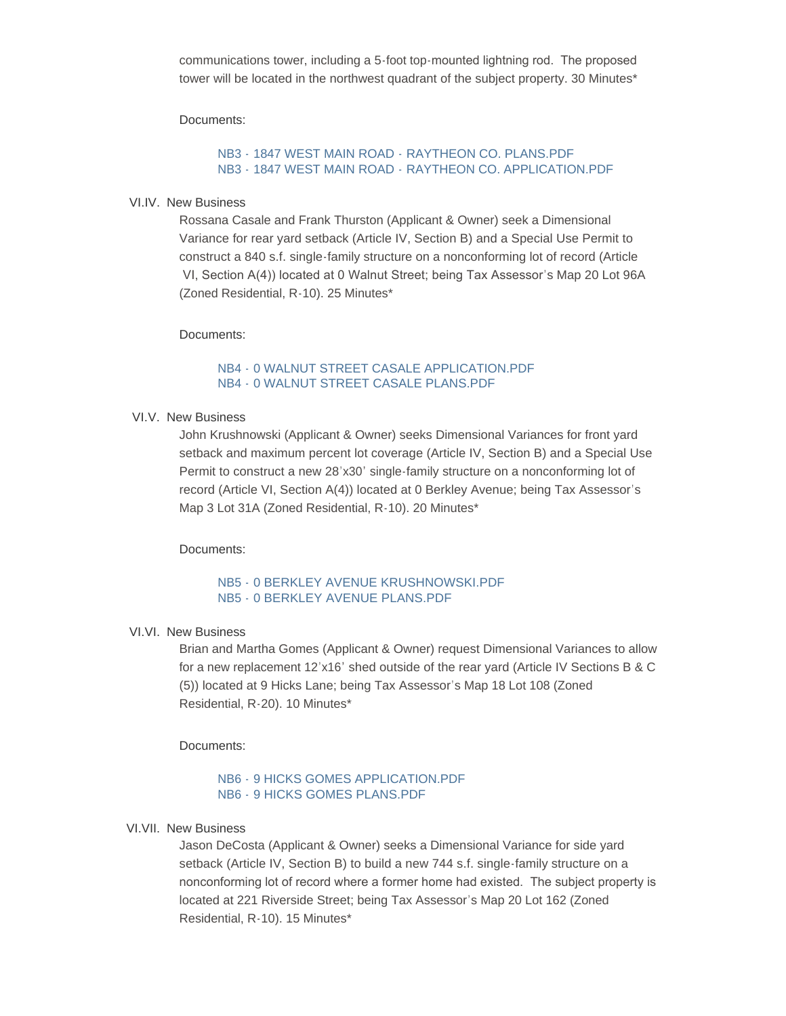communications tower, including a 5-foot top-mounted lightning rod. The proposed tower will be located in the northwest quadrant of the subject property. 30 Minutes\*

Documents:

# NB3 - 1847 WEST MAIN ROAD - RAYTHEON CO. PLANS PDE NB3 - 1847 WEST MAIN ROAD - [RAYTHEON CO. APPLICATION.PDF](https://www.portsmouthri.gov/AgendaCenter/ViewFile/Item/9147?fileID=12169)

### VI.IV. New Business

Rossana Casale and Frank Thurston (Applicant & Owner) seek a Dimensional Variance for rear yard setback (Article IV, Section B) and a Special Use Permit to construct a 840 s.f. single-family structure on a nonconforming lot of record (Article VI, Section A(4)) located at 0 Walnut Street; being Tax Assessor's Map 20 Lot 96A (Zoned Residential, R-10). 25 Minutes\*

Documents:

# NB4 - [0 WALNUT STREET CASALE APPLICATION.PDF](https://www.portsmouthri.gov/AgendaCenter/ViewFile/Item/9148?fileID=12170) NB4 - [0 WALNUT STREET CASALE PLANS.PDF](https://www.portsmouthri.gov/AgendaCenter/ViewFile/Item/9148?fileID=12171)

VI.V. New Business

John Krushnowski (Applicant & Owner) seeks Dimensional Variances for front yard setback and maximum percent lot coverage (Article IV, Section B) and a Special Use Permit to construct a new 28'x30' single-family structure on a nonconforming lot of record (Article VI, Section A(4)) located at 0 Berkley Avenue; being Tax Assessor's Map 3 Lot 31A (Zoned Residential, R-10). 20 Minutes\*

### Documents:

### NB5 - [0 BERKLEY AVENUE KRUSHNOWSKI.PDF](https://www.portsmouthri.gov/AgendaCenter/ViewFile/Item/9149?fileID=12172) NB5 - [0 BERKLEY AVENUE PLANS.PDF](https://www.portsmouthri.gov/AgendaCenter/ViewFile/Item/9149?fileID=12173)

### VI.VI. New Business

Brian and Martha Gomes (Applicant & Owner) request Dimensional Variances to allow for a new replacement 12'x16' shed outside of the rear yard (Article IV Sections B & C (5)) located at 9 Hicks Lane; being Tax Assessor's Map 18 Lot 108 (Zoned Residential, R-20). 10 Minutes\*

Documents:

# NB6 - [9 HICKS GOMES APPLICATION.PDF](https://www.portsmouthri.gov/AgendaCenter/ViewFile/Item/9150?fileID=12174) NB6 - [9 HICKS GOMES PLANS.PDF](https://www.portsmouthri.gov/AgendaCenter/ViewFile/Item/9150?fileID=12175)

### VI.VII. New Business

Jason DeCosta (Applicant & Owner) seeks a Dimensional Variance for side yard setback (Article IV, Section B) to build a new 744 s.f. single-family structure on a nonconforming lot of record where a former home had existed. The subject property is located at 221 Riverside Street; being Tax Assessor's Map 20 Lot 162 (Zoned Residential, R-10). 15 Minutes\*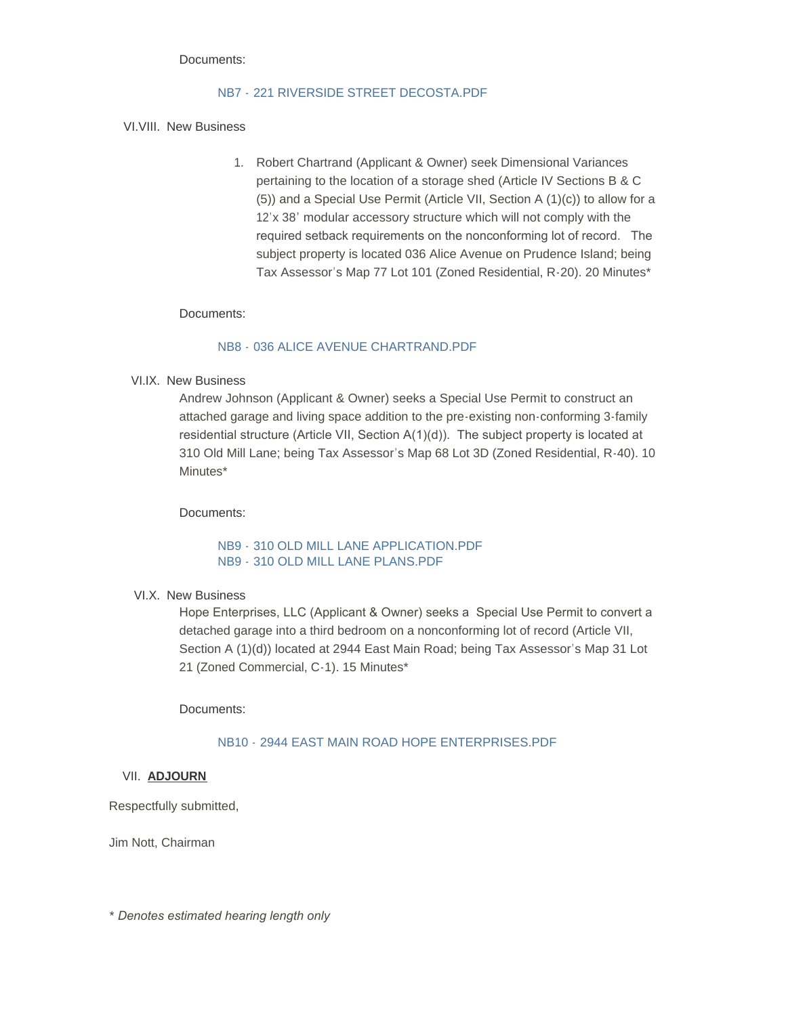#### Documents:

# NB7 - 221 RIVERSIDE STREET DECOSTA PDF

### VI.VIII. New Business

1. Robert Chartrand (Applicant & Owner) seek Dimensional Variances pertaining to the location of a storage shed (Article IV Sections B & C (5)) and a Special Use Permit (Article VII, Section A (1)(c)) to allow for a 12'x 38' modular accessory structure which will not comply with the required setback requirements on the nonconforming lot of record. The subject property is located 036 Alice Avenue on Prudence Island; being Tax Assessor's Map 77 Lot 101 (Zoned Residential, R-20). 20 Minutes\*

### Documents:

## NB8 - [036 ALICE AVENUE CHARTRAND.PDF](https://www.portsmouthri.gov/AgendaCenter/ViewFile/Item/9152?fileID=12178)

VI.IX. New Business

Andrew Johnson (Applicant & Owner) seeks a Special Use Permit to construct an attached garage and living space addition to the pre-existing non-conforming 3-family residential structure (Article VII, Section A(1)(d)). The subject property is located at 310 Old Mill Lane; being Tax Assessor's Map 68 Lot 3D (Zoned Residential, R-40). 10 Minutes\*

Documents:

# NB9 - [310 OLD MILL LANE APPLICATION.PDF](https://www.portsmouthri.gov/AgendaCenter/ViewFile/Item/9153?fileID=12179) NB9 - [310 OLD MILL LANE PLANS.PDF](https://www.portsmouthri.gov/AgendaCenter/ViewFile/Item/9153?fileID=12180)

### VI.X. New Business

Hope Enterprises, LLC (Applicant & Owner) seeks a Special Use Permit to convert a detached garage into a third bedroom on a nonconforming lot of record (Article VII, Section A (1)(d)) located at 2944 East Main Road; being Tax Assessor's Map 31 Lot 21 (Zoned Commercial, C-1). 15 Minutes\*

Documents:

# NB10 - [2944 EAST MAIN ROAD HOPE ENTERPRISES.PDF](https://www.portsmouthri.gov/AgendaCenter/ViewFile/Item/9154?fileID=12181)

### **ADJOURN** VII.

Respectfully submitted,

Jim Nott, Chairman

*\* Denotes estimated hearing length only*